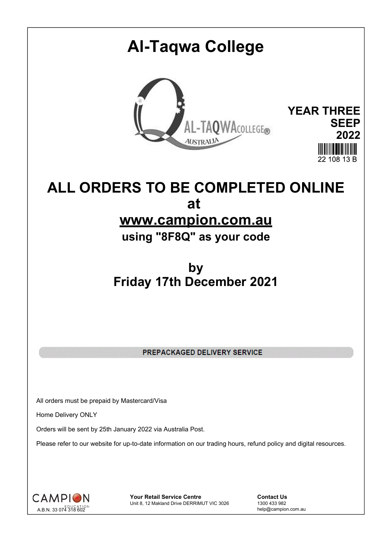# **Al-Taqwa College YEAR THREE** AL-TAQWACOLLEGE® **SEEP 2022** 22 108 13 B

# **ALL ORDERS TO BE COMPLETED ONLINE at www.campion.com.au**

**using "8F8Q" as your code**

# **by Friday 17th December 2021**

PREPACKAGED DELIVERY SERVICE

All orders must be prepaid by Mastercard/Visa

Home Delivery ONLY

Orders will be sent by 25th January 2022 via Australia Post.

Please refer to our website for up-to-date information on our trading hours, refund policy and digital resources.



**Your Retail Service Centre Contact Us**<br>
Unit 8, 12 Makland Drive DERRIMUT VIC 3026
1300 433 982 Unit 8, 12 Makland Drive DERRIMUT VIC 3026

help@campion.com.au